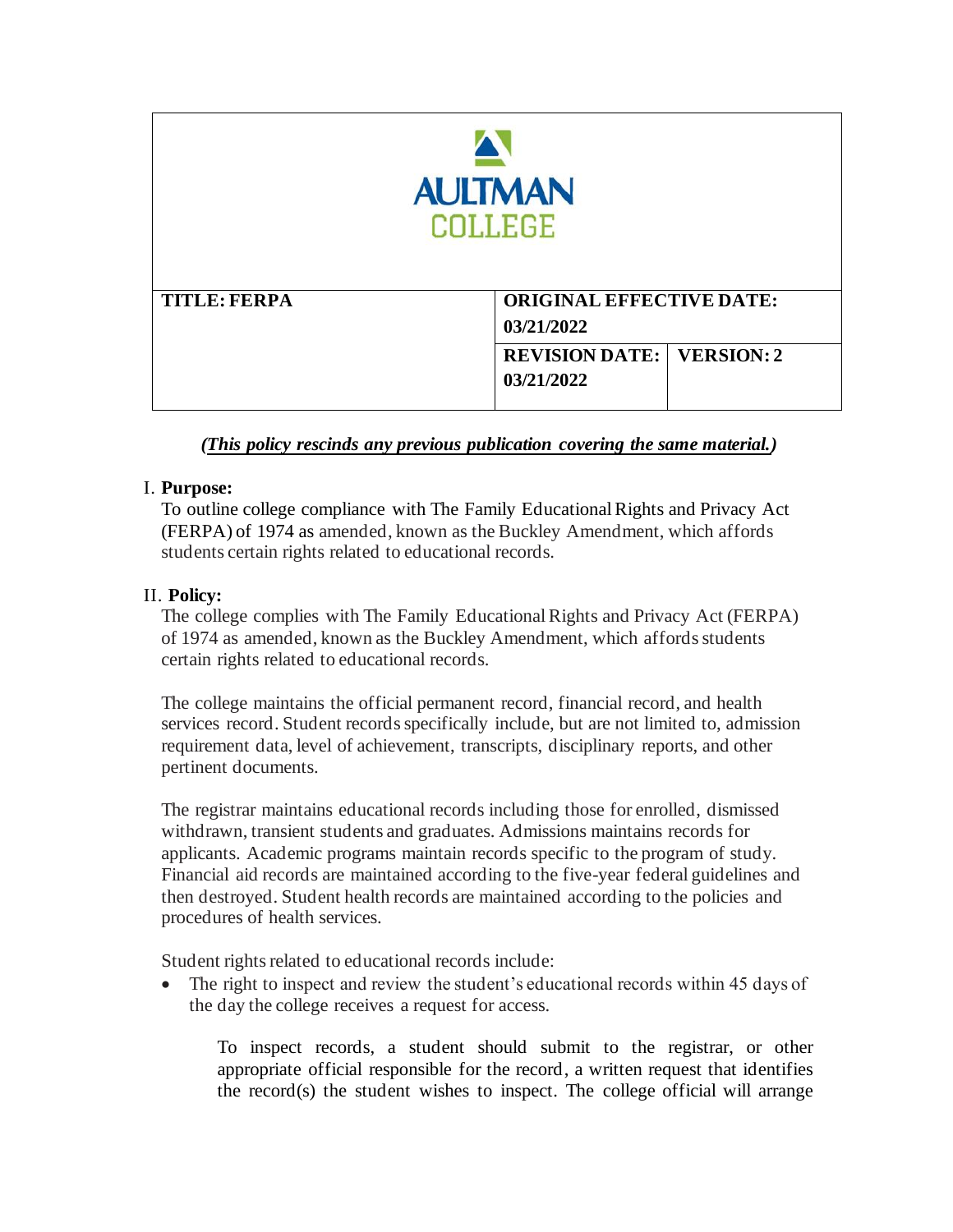| <b>AULTMAN</b><br><b>COLLEGE</b> |                                                |
|----------------------------------|------------------------------------------------|
| <b>TITLE: FERPA</b>              | <b>ORIGINAL EFFECTIVE DATE:</b><br>03/21/2022  |
|                                  | <b>REVISION DATE: VERSION: 2</b><br>03/21/2022 |

# *(This policy rescinds any previous publication covering the same material.)*

# I. **Purpose:**

 To outline college compliance with The Family Educational Rights and Privacy Act (FERPA) of 1974 as amended, known as the Buckley Amendment, which affords students certain rights related to educational records.

# II. **Policy:**

 The college complies with The Family Educational Rights and Privacy Act (FERPA) of 1974 as amended, known as the Buckley Amendment, which affords students certain rights related to educational records.

 The college maintains the official permanent record, financial record, and health services record. Student records specifically include, but are not limited to, admission requirement data, level of achievement, transcripts, disciplinary reports, and other pertinent documents.

 The registrar maintains educational records including those for enrolled, dismissed withdrawn, transient students and graduates. Admissions maintains records for applicants. Academic programs maintain records specific to the program of study. Financial aid records are maintained according to the five-year federal guidelines and then destroyed. Student health records are maintained according to the policies and procedures of health services.

Student rights related to educational records include:

• The right to inspect and review the student's educational records within 45 days of the day the college receives a request for access.

 To inspect records, a student should submit to the registrar, or other appropriate official responsible for the record, a written request that identifies the record(s) the student wishes to inspect. The college official will arrange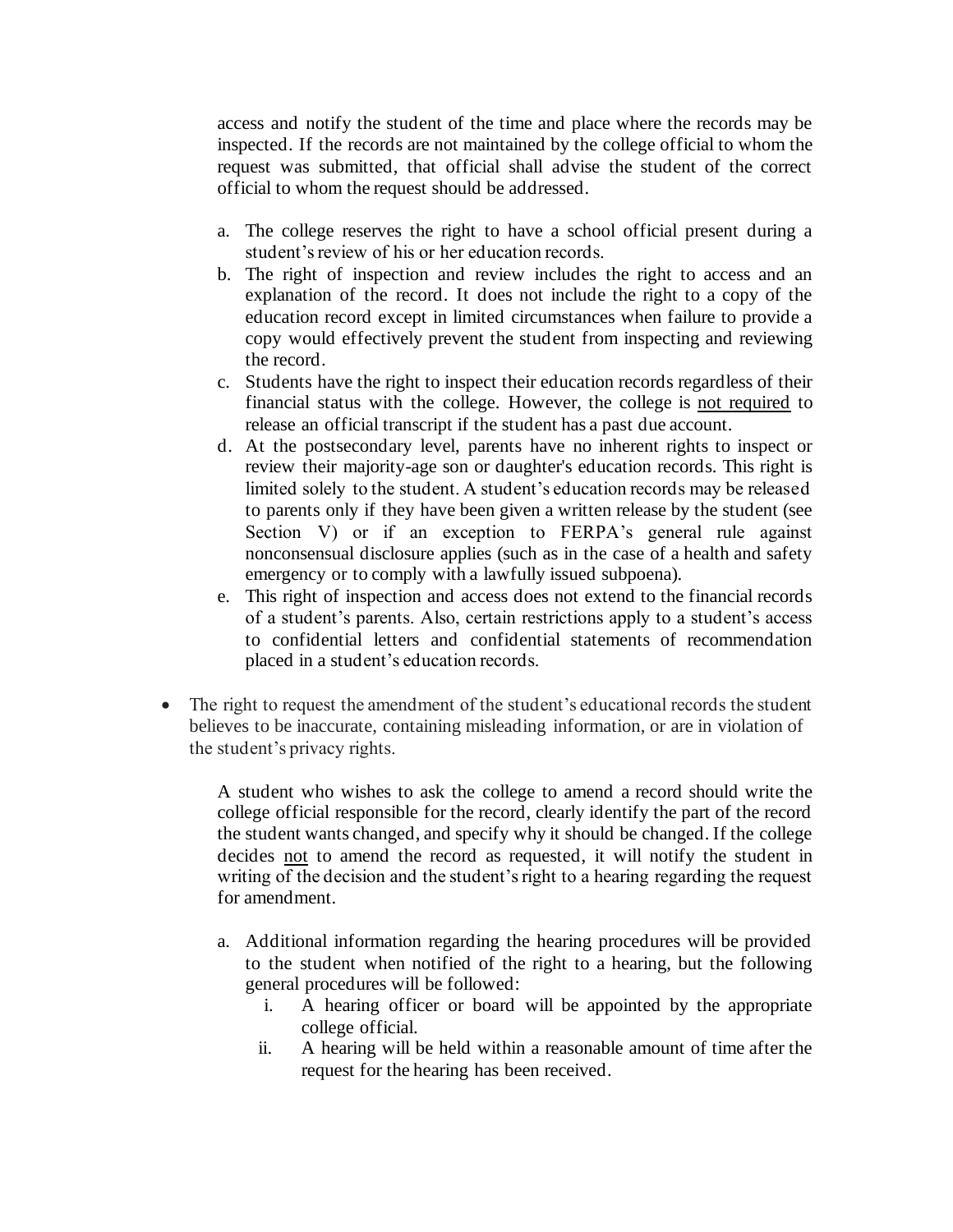access and notify the student of the time and place where the records may be inspected. If the records are not maintained by the college official to whom the request was submitted, that official shall advise the student of the correct official to whom the request should be addressed.

- a. The college reserves the right to have a school official present during a student's review of his or her education records.
- b. The right of inspection and review includes the right to access and an explanation of the record. It does not include the right to a copy of the education record except in limited circumstances when failure to provide a copy would effectively prevent the student from inspecting and reviewing the record.
- financial status with the college. However, the college is not required to release an official transcript if the student has a past due account. c. Students have the right to inspect their education records regardless of their
- d. At the postsecondary level, parents have no inherent rights to inspect or review their majority-age son or daughter's education records. This right is limited solely to the student. A student's education records may be released to parents only if they have been given a written release by the student (see Section V) or if an exception to FERPA's general rule against nonconsensual disclosure applies (such as in the case of a health and safety emergency or to comply with a lawfully issued subpoena).
- e. This right of inspection and access does not extend to the financial records of a student's parents. Also, certain restrictions apply to a student's access to confidential letters and confidential statements of recommendation placed in a student's education records.
- • The right to request the amendment of the student's educational records the student believes to be inaccurate, containing misleading information, or are in violation of the student's privacy rights.

 A student who wishes to ask the college to amend a record should write the college official responsible for the record, clearly identify the part of the record the student wants changed, and specify why it should be changed. If the college decides not to amend the record as requested, it will notify the student in writing of the decision and the student's right to a hearing regarding the request for amendment.

- a. Additional information regarding the hearing procedures will be provided to the student when notified of the right to a hearing, but the following general procedures will be followed:
	- i. A hearing officer or board will be appointed by the appropriate college official.
	- ii. A hearing will be held within a reasonable amount of time after the request for the hearing has been received.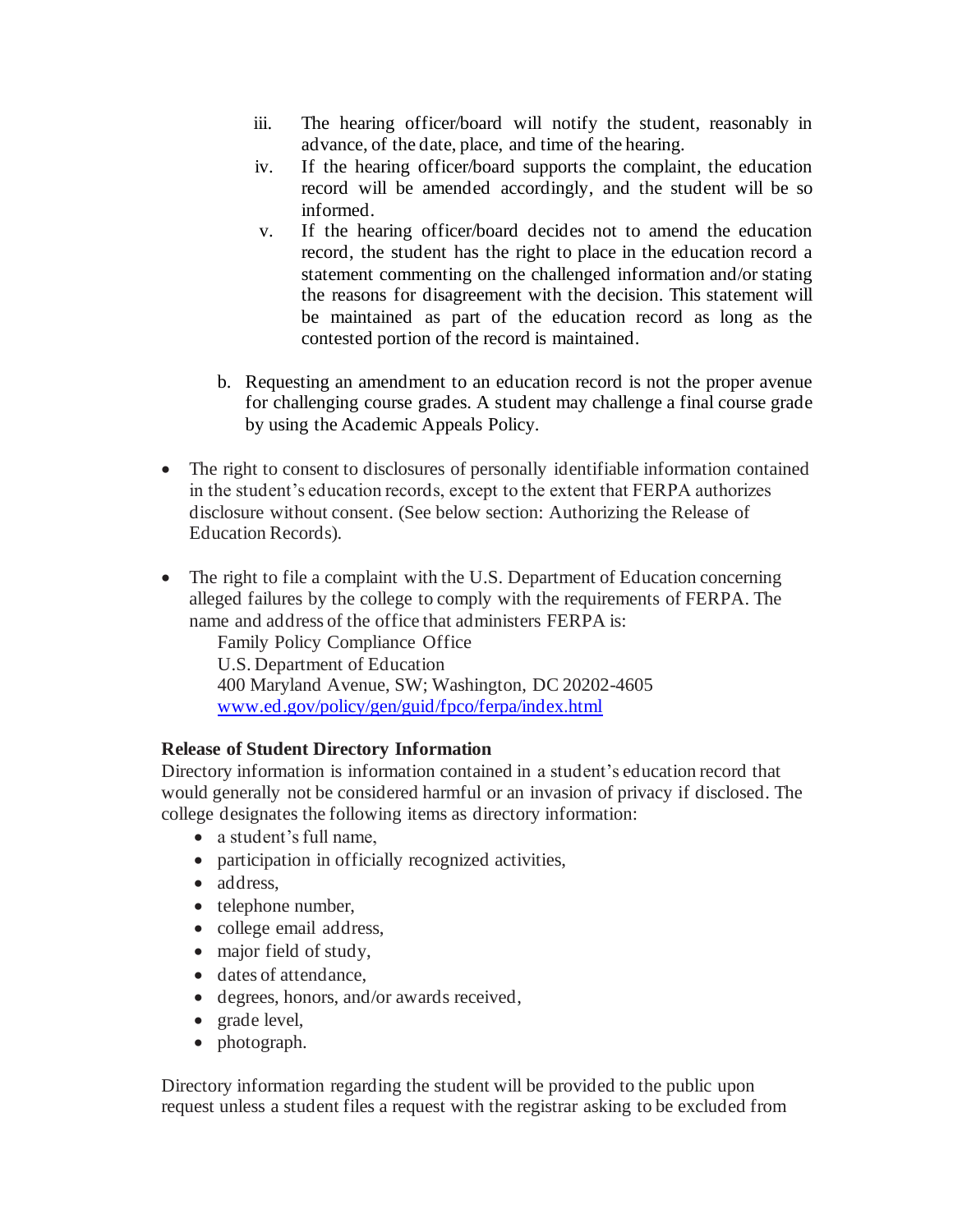- iii. The hearing officer/board will notify the student, reasonably in advance, of the date, place, and time of the hearing.
- iv. If the hearing officer/board supports the complaint, the education record will be amended accordingly, and the student will be so informed.
- v. If the hearing officer/board decides not to amend the education record, the student has the right to place in the education record a statement commenting on the challenged information and/or stating the reasons for disagreement with the decision. This statement will be maintained as part of the education record as long as the contested portion of the record is maintained.
- b. Requesting an amendment to an education record is not the proper avenue for challenging course grades. A student may challenge a final course grade by using the Academic Appeals Policy.
- • The right to consent to disclosures of personally identifiable information contained in the student's education records, except to the extent that FERPA authorizes disclosure without consent. (See below section: Authorizing the Release of Education Records).
- The right to file a complaint with the U.S. Department of Education concerning alleged failures by the college to comply with the requirements of FERPA. The name and address of the office that administers FERPA is:

Family Policy Compliance Office U.S. Department of Education 400 Maryland Avenue, SW; Washington, DC 20202-4605 <www.ed.gov/policy/gen/guid/fpco/ferpa/index.html>

# **Release of Student Directory Information**

 would generally not be considered harmful or an invasion of privacy if disclosed. The Directory information is information contained in a student's education record that college designates the following items as directory information:

- a student's full name,
- participation in officially recognized activities,
- address,
- telephone number,
- college email address,
- major field of study,
- dates of attendance,
- degrees, honors, and/or awards received,
- grade level,
- photograph.

 Directory information regarding the student will be provided to the public upon request unless a student files a request with the registrar asking to be excluded from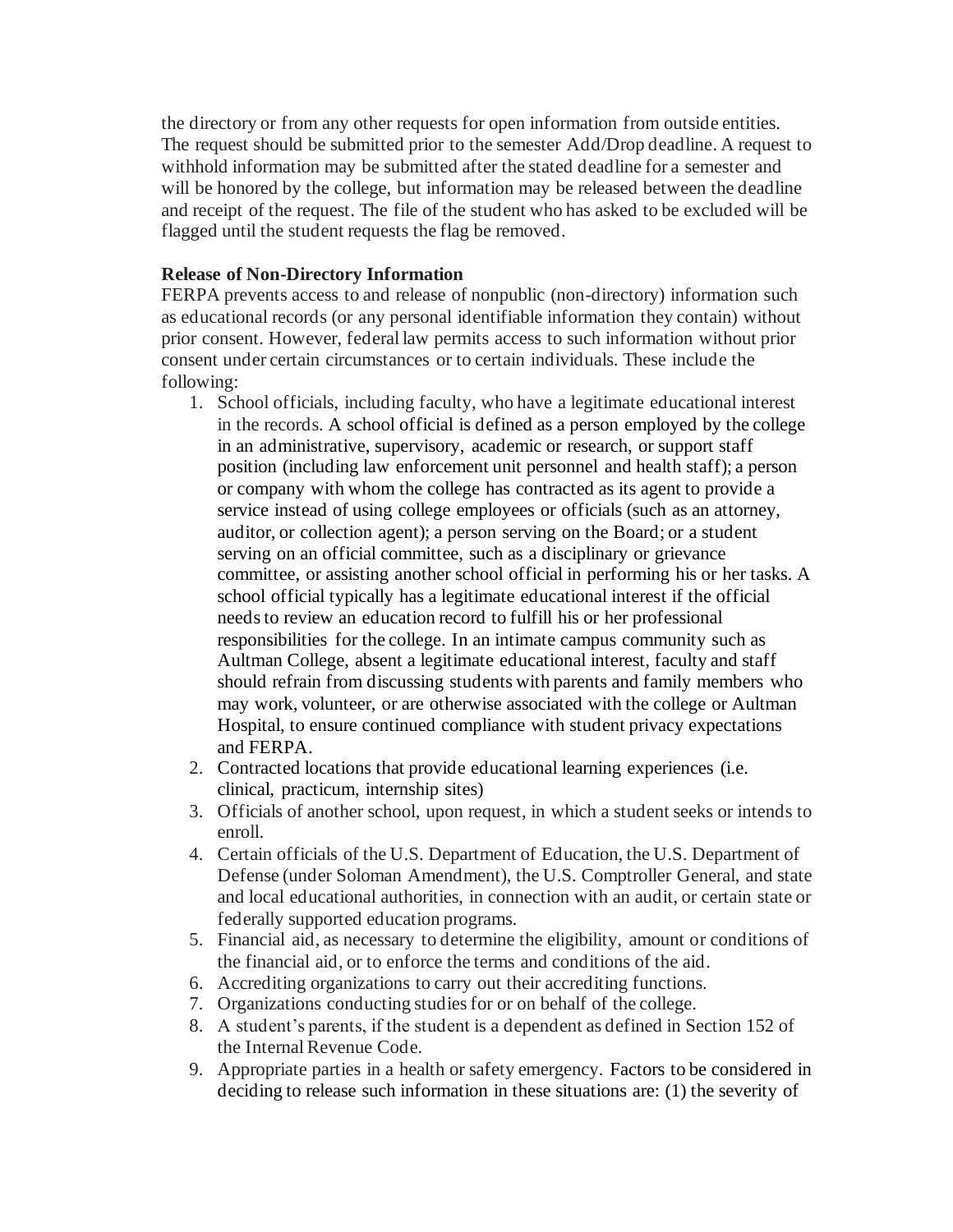The request should be submitted prior to the semester Add/Drop deadline. A request to withhold information may be submitted after the stated deadline for a semester and will be honored by the college, but information may be released between the deadline and receipt of the request. The file of the student who has asked to be excluded will be flagged until the student requests the flag be removed. the directory or from any other requests for open information from outside entities.

#### **Release of Non-Directory Information**

 FERPA prevents access to and release of nonpublic (non-directory) information such as educational records (or any personal identifiable information they contain) without prior consent. However, federal law permits access to such information without prior consent under certain circumstances or to certain individuals. These include the following:

- 1. School officials, including faculty, who have a legitimate educational interest in the records. A school official is defined as a person employed by the college position (including law enforcement unit personnel and health staff); a person or company with whom the college has contracted as its agent to provide a service instead of using college employees or officials (such as an attorney, auditor, or collection agent); a person serving on the Board; or a student serving on an official committee, such as a disciplinary or grievance committee, or assisting another school official in performing his or her tasks. A needs to review an education record to fulfill his or her professional responsibilities for the college. In an intimate campus community such as Aultman College, absent a legitimate educational interest, faculty and staff in an administrative, supervisory, academic or research, or support staff school official typically has a legitimate educational interest if the official should refrain from discussing students with parents and family members who may work, volunteer, or are otherwise associated with the college or Aultman Hospital, to ensure continued compliance with student privacy expectations and FERPA.
- 2. Contracted locations that provide educational learning experiences (i.e. clinical, practicum, internship sites)
- 3. Officials of another school, upon request, in which a student seeks or intends to enroll.
- 4. Certain officials of the U.S. Department of Education, the U.S. Department of Defense (under Soloman Amendment), the U.S. Comptroller General, and state and local educational authorities, in connection with an audit, or certain state or federally supported education programs.
- the financial aid, or to enforce the terms and conditions of the aid. 5. Financial aid, as necessary to determine the eligibility, amount or conditions of
- 6. Accrediting organizations to carry out their accrediting functions.
- 7. Organizations conducting studies for or on behalf of the college.
- 8. A student's parents, if the student is a dependent as defined in Section 152 of the Internal Revenue Code.
- 9. Appropriate parties in a health or safety emergency. Factors to be considered in deciding to release such information in these situations are: (1) the severity of